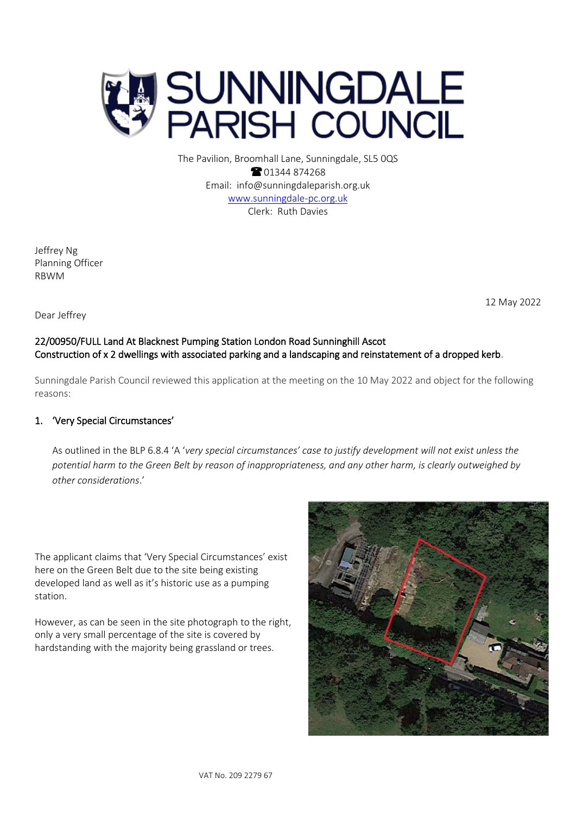

The Pavilion, Broomhall Lane, Sunningdale, SL5 0QS <sup>2</sup>01344 874268 Email: info@sunningdaleparish.org.uk [www.sunningdale-pc.org.uk](http://www.sunningdale-pc.org.uk/) Clerk: Ruth Davies

Jeffrey Ng Planning Officer RBWM

12 May 2022

### Dear Jeffrey

## 22/00950/FULL Land At Blacknest Pumping Station London Road Sunninghill Ascot Construction of x 2 dwellings with associated parking and a landscaping and reinstatement of a dropped kerb.

Sunningdale Parish Council reviewed this application at the meeting on the 10 May 2022 and object for the following reasons:

### 1. 'Very Special Circumstances'

As outlined in the BLP 6.8.4 'A '*very special circumstances' case to justify development will not exist unless the potential harm to the Green Belt by reason of inappropriateness, and any other harm, is clearly outweighed by other considerations*.'

The applicant claims that 'Very Special Circumstances' exist here on the Green Belt due to the site being existing developed land as well as it's historic use as a pumping station.

However, as can be seen in the site photograph to the right, only a very small percentage of the site is covered by hardstanding with the majority being grassland or trees.

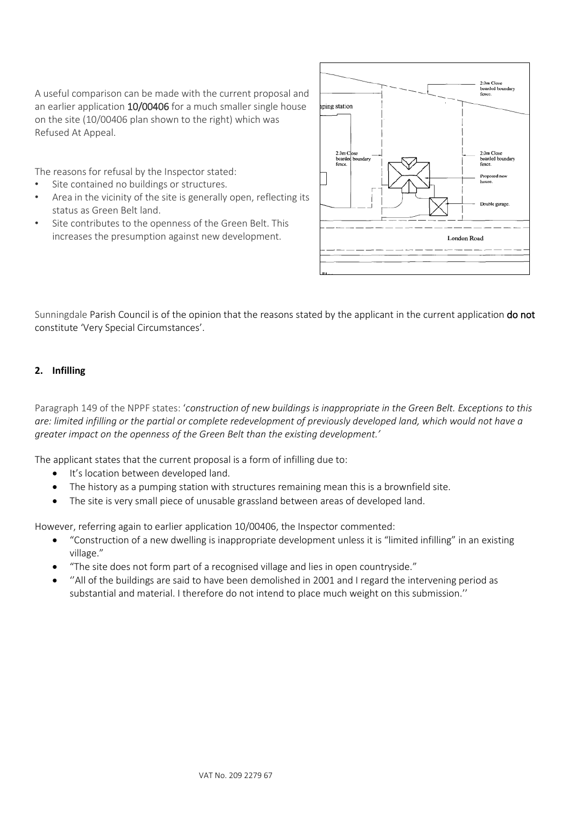A useful comparison can be made with the current proposal and an earlier application 10/00406 for a much smaller single house on the site (10/00406 plan shown to the right) which was Refused At Appeal.

The reasons for refusal by the Inspector stated:

- Site contained no buildings or structures.
- Area in the vicinity of the site is generally open, reflecting its status as Green Belt land.
- Site contributes to the openness of the Green Belt. This increases the presumption against new development.



Sunningdale Parish Council is of the opinion that the reasons stated by the applicant in the current application do not constitute 'Very Special Circumstances'.

#### **2. Infilling**

Paragraph 149 of the NPPF states: '*construction of new buildings is inappropriate in the Green Belt. Exceptions to this are: limited infilling or the partial or complete redevelopment of previously developed land, which would not have a greater impact on the openness of the Green Belt than the existing development.'* 

The applicant states that the current proposal is a form of infilling due to:

- It's location between developed land.
- The history as a pumping station with structures remaining mean this is a brownfield site.
- The site is very small piece of unusable grassland between areas of developed land.

However, referring again to earlier application 10/00406, the Inspector commented:

- "Construction of a new dwelling is inappropriate development unless it is "limited infilling" in an existing village."
- "The site does not form part of a recognised village and lies in open countryside."
- ''All of the buildings are said to have been demolished in 2001 and I regard the intervening period as substantial and material. I therefore do not intend to place much weight on this submission.''